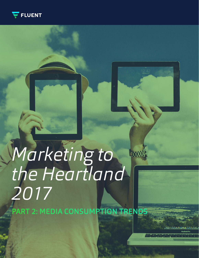

# *Marketing to*  **MARCES** *the Heartland 2017*

PART 2: MEDIA CONSUMPTION TRENDS

Arrows indicate significantly higher than comparison group at 95% CI Marketing to the Heartland **1**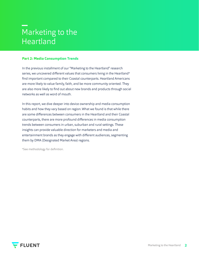### Marketing to the Heartland

#### **Part 2: Media Consumption Trends**

In the previous installment of our "Marketing to the Heartland" research series, we uncovered different values that consumers living in the Heartland\* find important compared to their Coastal counterparts. Heartland Americans are more likely to value family, faith, and be more community oriented. They are also more likely to find out about new brands and products through social networks as well as word of mouth.

In this report, we dive deeper into device ownership and media consumption habits and how they vary based on region. What we found is that while there are some differences between consumers in the Heartland and their Coastal counterparts, there are more profound differences in media consumption trends between consumers in urban, suburban and rural settings. These insights can provide valuable direction for marketers and media and entertainment brands as they engage with different audiences, segmenting them by DMA (Designated Market Area) regions.

\*See methodology for definition.

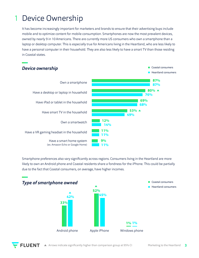#### Device Ownership 1

It has become increasingly important for marketers and brands to ensure that their advertising buys include mobile and to optimize content for mobile consumption. Smartphones are now the most prevalent devices, owned by nearly 9 in 10 Americans. There are currently more US consumers who own a smartphone than a laptop or desktop computer. This is especially true for Americans living in the Heartland, who are less likely to have a personal computer in their household. They are also less likely to have a smart TV than those residing in Coastal states.



Smartphone preferences also vary significantly across regions. Consumers living in the Heartland are more likely to own an Android phone and Coastal residents share a fondness for the iPhone. This could be partially due to the fact that Coastal consumers, on average, have higher incomes.



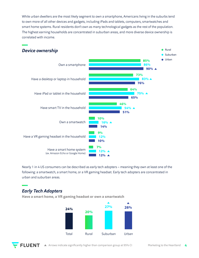While urban dwellers are the most likely segment to own a smartphone, Americans living in the suburbs tend to own more of all other devices and gadgets, including iPads and tablets, computers, smartwatches and smart home systems. Rural residents don't own as many technological gadgets as the rest of the population. The highest earning households are concentrated in suburban areas, and more diverse device ownership is correlated with income.



Nearly 1 in 4 US consumers can be described as early tech adopters – meaning they own at least one of the following: a smartwatch, a smart home, or a VR gaming headset. Early tech adopters are concentrated in urban and suburban areas.

#### *Early Tech Adopters*

**Have a smart home, a VR gaming headset or own a smartwatch**



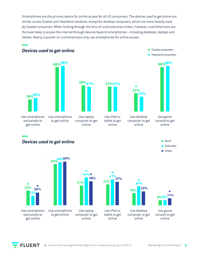Smartphones are the primary device for online access for all US consumers. The devices used to get online are similar across Coastal and Heartland residents, except for desktop computers, which are more heavily used by Coastal consumers. When looking through the lens of rural/suburban/urban, however, rural Americans are the least likely to access the internet through devices beyond smartphones – including desktops, laptops and tablets. Nearly a quarter of rural Americans only use smartphones for online access.



*Devices used to get online*





Use desktop

online



**Coastal consumers Heartland consumers** 

**66% 68%**



Use smartphone exclusively to get online Use laptop computer to get online Use smartphone to get online **31% 65% 68% 69% 23% 33% 44% 15% 38% 20%**





#### Use game console to get online

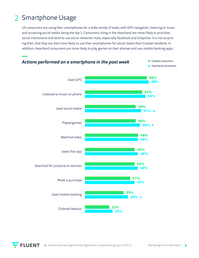#### Smartphone Usage 2

US consumers are using their smartphones for a wide variety of tasks, with GPS navigation, listening to music and accessing social media being the top 3. Consumers living in the Heartland are more likely to prioritize social interactions and tend to use social networks more, especially Facebook and Snapchat. It is not surprising then, that they are also more likely to use their smartphones for social media than Coastal residents. In addition, Heartland consumers are more likely to play games on their phones and use mobile banking apps.

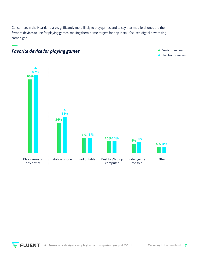Consumers in the Heartland are significantly more likely to play games and to say that mobile phones are their favorite devices to use for playing games, making them prime targets for app install-focused digital advertising campaigns.



### *Favorite device for playing games* Coastal consumers

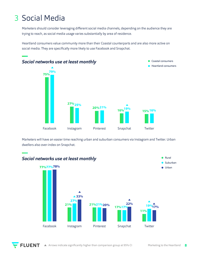### 3 Social Media

Marketers should consider leveraging different social media channels, depending on the audience they are trying to reach, as social media usage varies substantially by area of residence.

Heartland consumers value community more than their Coastal counterparts and are also more active on social media. They are specifically more likely to use Facebook and Snapchat.



Marketers will have an easier time reaching urban and suburban consumers via Instagram and Twitter. Urban dwellers also over-index on Snapchat.



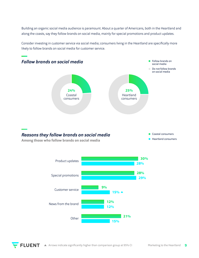Building an organic social media audience is paramount. About a quarter of Americans, both in the Heartland and along the coasts, say they follow brands on social media, mainly for special promotions and product updates.

Consider investing in customer service via social media; consumers living in the Heartland are specifically more likely to follow brands on social media for customer service.



#### *Reasons they follow brands on social media*

Coastal consumers Heartland consumers

**Among those who follow brands on social media**



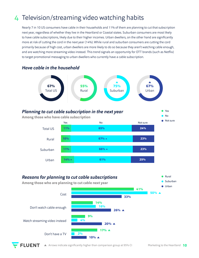### 4 Television/streaming video watching habits

Nearly 7 in 10 US consumers have cable in their households and 11% of them are planning to cut that subscription next year, regardless of whether they live in the Heartland or Coastal states. Suburban consumers are most likely to have cable subscriptions, likely due to their higher incomes. Urban dwellers, on the other hand are significantly more at risk of cutting the cord in the next year (14%). While rural and suburban consumers are cutting the cord primarily because of high cost, urban dwellers are more likely to do so because they aren't watching cable enough, and are watching more streaming video instead. This trend signals an opportunity for OTT brands (such as Netflix) to target promotional messaging to urban dwellers who currently have a cable subscription.





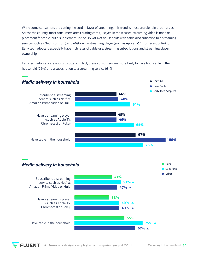While some consumers are cutting the cord in favor of streaming, this trend is most prevalent in urban areas. Across the country, most consumers aren't cutting cords just yet. In most cases, streaming video is not a replacement for cable, but a supplement. In the US, 48% of households with cable also subscribe to a streaming service (such as Netflix or Hulu) and 46% own a streaming player (such as Apple TV, Chromecast or Roku). Early tech adopters especially have high rates of cable use, streaming subscriptions and streaming player ownership.

Early tech adopters are not cord cutters. In fact, these consumers are more likely to have both cable in the household (75%) and a subscription to a streaming service (61%).